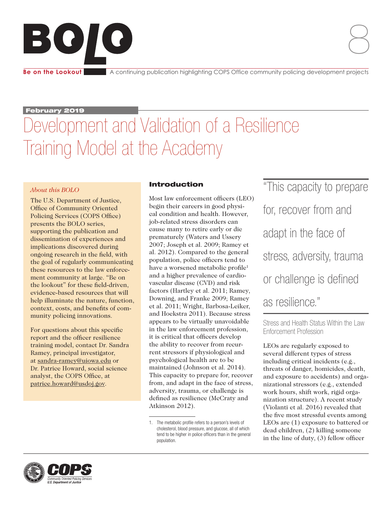# BOIO

**Be on the Lookout** A continuing publication highlighting COPS Office community policing development projects

February 2019

## Development and Validation of a Resilience Training Model at the Academy

### *About this BOLO*

The U.S. Department of Justice, Office of Community Oriented Policing Services (COPS Office) presents the BOLO series, supporting the publication and dissemination of experiences and implications discovered during ongoing research in the field, with the goal of regularly communicating these resources to the law enforcement community at large. "Be on the lookout" for these field-driven, evidence-based resources that will help illuminate the nature, function, context, costs, and benefits of community policing innovations.

For questions about this specific report and the officer resilience training model, contact Dr. Sandra Ramey, principal investigator, at [sandra-ramey@uiowa.edu](mailto:sandra-ramey@uiowa.edu) or Dr. Patrice Howard, social science analyst, the COPS Office, at [patrice.howard@usdoj.gov.](mailto:patrice.howard@usdoj.gov)

### Introduction

Most law enforcement officers (LEO) begin their careers in good physical condition and health. However, job-related stress disorders can cause many to retire early or die prematurely (Waters and Ussery 2007; Joseph et al. 2009; Ramey et al. 2012). Compared to the general population, police officers tend to have a worsened metabolic profile<sup>1</sup> and a higher prevalence of cardiovascular disease (CVD) and risk factors (Hartley et al. 2011; Ramey, Downing, and Franke 2009; Ramey et al. 2011; Wright, Barbosa-Leiker, and Hoekstra 2011). Because stress appears to be virtually unavoidable in the law enforcement profession, it is critical that officers develop the ability to recover from recurrent stressors if physiological and psychological health are to be maintained (Johnson et al. 2014). This capacity to prepare for, recover from, and adapt in the face of stress, adversity, trauma, or challenge is defined as resilience (McCraty and Atkinson 2012).

"This capacity to prepare for, recover from and adapt in the face of stress, adversity, trauma or challenge is defined as resilience."

Stress and Health Status Within the Law Enforcement Profession

LEOs are regularly exposed to several different types of stress including critical incidents (e.g., threats of danger, homicides, death, and exposure to accidents) and organizational stressors (e.g., extended work hours, shift work, rigid organization structure). A recent study (Violanti et al. 2016) revealed that the five most stressful events among LEOs are (1) exposure to battered or dead children, (2) killing someone in the line of duty, (3) fellow officer



<sup>1.</sup> The metabolic profile refers to a person's levels of cholesterol, blood pressure, and glucose, all of which tend to be higher in police officers than in the general population.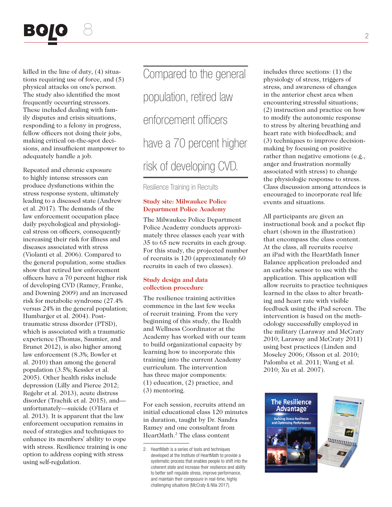

killed in the line of duty, (4) situations requiring use of force, and (5) physical attacks on one's person. The study also identified the most frequently occurring stressors. These included dealing with family disputes and crisis situations, responding to a felony in progress, fellow officers not doing their jobs, making critical on-the-spot decisions, and insufficient manpower to adequately handle a job.

Repeated and chronic exposure to highly intense stressors can produce dysfunctions within the stress response system, ultimately leading to a diseased state (Andrew et al. 2017). The demands of the law enforcement occupation place daily psychological and physiological stress on officers, consequently increasing their risk for illness and diseases associated with stress (Violanti et al. 2006). Compared to the general population, some studies show that retired law enforcement officers have a 70 percent higher risk of developing CVD (Ramey, Franke, and Downing 2009) and an increased risk for metabolic syndrome (27.4% versus 24% in the general population; Humbarger et al. 2004). Posttraumatic stress disorder (PTSD), which is associated with a traumatic experience (Thomas, Saumier, and Brunet 2012), is also higher among law enforcement (8.3%; Bowler et al. 2010) than among the general population (3.5%; Kessler et al. 2005). Other health risks include depression (Lilly and Pierce 2012; Regehr et al. 2013), acute distress disorder (Trachik et al. 2015), and unfortunately—suicide (O'Hara et al. 2013). It is apparent that the law enforcement occupation remains in need of strategies and techniques to enhance its members' ability to cope with stress. Resilience training is one option to address coping with stress using self-regulation.

Compared to the general population, retired law enforcement officers have a 70 percent higher risk of developing CVD.

Resilience Training in Recruits

#### **Study site: Milwaukee Police Department Police Academy**

The Milwaukee Police Department Police Academy conducts approximately three classes each year with 35 to 65 new recruits in each group. For this study, the projected number of recruits is 120 (approximately 60 recruits in each of two classes).

#### **Study design and data collection procedure**

The resilience training activities commence in the last few weeks of recruit training. From the very beginning of this study, the Health and Wellness Coordinator at the Academy has worked with our team to build organizational capacity by learning how to incorporate this training into the current Academy curriculum. The intervention has three major components: (1) education, (2) practice, and (3) mentoring.

For each session, recruits attend an initial educational class 120 minutes in duration, taught by Dr. Sandra Ramey and one consultant from HeartMath.2 The class content

includes three sections: (1) the physiology of stress, triggers of stress, and awareness of changes in the anterior chest area when encountering stressful situations; (2) instruction and practice on how to modify the autonomic response to stress by altering breathing and heart rate with biofeedback; and (3) techniques to improve decisionmaking by focusing on positive rather than negative emotions (e.g., anger and frustration normally associated with stress) to change the physiologic response to stress. Class discussion among attendees is encouraged to incorporate real life events and situations.

All participants are given an instructional book and a pocket flip chart (shown in the illustration) that encompass the class content. At the class, all recruits receive an iPad with the HeartMath Inner Balance application preloaded and an earlobe sensor to use with the application. This application will allow recruits to practice techniques learned in the class to alter breathing and heart rate with visible feedback using the iPad screen. The intervention is based on the methodology successfully employed in the military (Laraway and McCraty 2010; Laraway and McCraty 2011) using best practices (Linden and Moseley 2006; Olsson et al. 2010; Palomba et al. 2011; Wang et al. 2010; Xu et al. 2007).



<sup>2.</sup> HeartMath is a series of tools and techniques developed at the Institute of HeartMath to provide a systematic process that enables people to shift into the coherent state and increase their resilience and ability to better self-regulate stress, improve performance, and maintain their composure in real-time, highly challenging situations (McCraty & Nila 2017).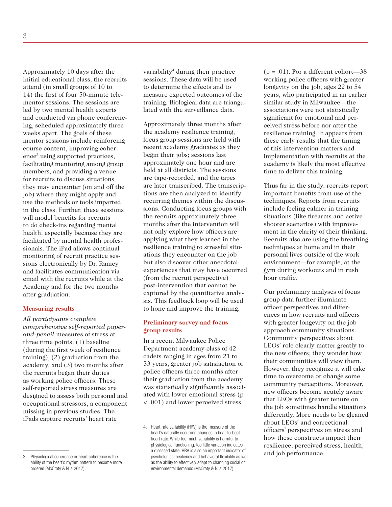Approximately 10 days after the initial educational class, the recruits attend (in small groups of 10 to 14) the first of four 50-minute telementor sessions. The sessions are led by two mental health experts and conducted via phone conferencing, scheduled approximately three weeks apart. The goals of these mentor sessions include reinforcing course content, improving coherence<sup>3</sup> using supported practices, facilitating mentoring among group members, and providing a venue for recruits to discuss situations they may encounter (on and off the job) where they might apply and use the methods or tools imparted in the class. Further, these sessions will model benefits for recruits to do check-ins regarding mental health, especially because they are facilitated by mental health professionals. The iPad allows continual monitoring of recruit practice sessions electronically by Dr. Ramey and facilitates communication via email with the recruits while at the Academy and for the two months after graduation.

#### **Measuring results**

*All participants complete comprehensive self-reported paperand-pencil* measures of stress at three time points: (1) baseline (during the first week of resilience training), (2) graduation from the academy, and (3) two months after the recruits began their duties as working police officers. These self-reported stress measures are designed to assess both personal and occupational stressors, a component missing in previous studies. The iPads capture recruits' heart rate

variability<sup>4</sup> during their practice sessions. These data will be used to determine the effects and to measure expected outcomes of the training. Biological data are triangulated with the surveillance data.

Approximately three months after the academy resilience training, focus group sessions are held with recent academy graduates as they begin their jobs; sessions last approximately one hour and are held at all districts. The sessions are tape-recorded, and the tapes are later transcribed. The transcriptions are then analyzed to identify recurring themes within the discussions. Conducting focus groups with the recruits approximately three months after the intervention will not only explore how officers are applying what they learned in the resilience training to stressful situations they encounter on the job but also discover other anecdotal experiences that may have occurred (from the recruit perspective) post-intervention that cannot be captured by the quantitative analysis. This feedback loop will be used to hone and improve the training.

#### **Preliminary survey and focus group results**

In a recent Milwaukee Police Department academy class of 42 cadets ranging in ages from 21 to 53 years, greater job satisfaction of police officers three months after their graduation from the academy was statistically significantly associated with lower emotional stress (p < .001) and lower perceived stress

 $(p = .01)$ . For a different cohort—38 working police officers with greater longevity on the job, ages 22 to 54 years, who participated in an earlier similar study in Milwaukee—the associations were not statistically significant for emotional and perceived stress before nor after the resilience training. It appears from these early results that the timing of this intervention matters and implementation with recruits at the academy is likely the most effective time to deliver this training.

Thus far in the study, recruits report important benefits from use of the techniques. Reports from recruits include feeling calmer in training situations (like firearms and active shooter scenarios) with improvement in the clarity of their thinking. Recruits also are using the breathing techniques at home and in their personal lives outside of the work environment—for example, at the gym during workouts and in rush hour traffic.

Our preliminary analyses of focus group data further illuminate officer perspectives and differences in how recruits and officers with greater longevity on the job approach community situations. Community perspectives about LEOs' role clearly matter greatly to the new officers; they wonder how their communities will view them. However, they recognize it will take time to overcome or change some community perceptions. Moreover, new officers become acutely aware that LEOs with greater tenure on the job sometimes handle situations differently. More needs to be gleaned about LEOs' and correctional officers' perspectives on stress and how these constructs impact their resilience, perceived stress, health, and job performance.

<sup>3.</sup> Physiological coherence or heart coherence is the ability of the heart's rhythm pattern to become more ordered (McCraty & Nila 2017).

<sup>4.</sup> Heart rate variability (HRV) is the measure of the heart's naturally occurring changes in beat-to-beat heart rate. While too much variability is harmful to physiological functioning, too little variation indicates a diseased state. HRV is also an important indicator of psychological resiliency and behavioral flexibility as well as the ability to effectively adapt to changing social or environmental demands (McCraty & Nila 2017).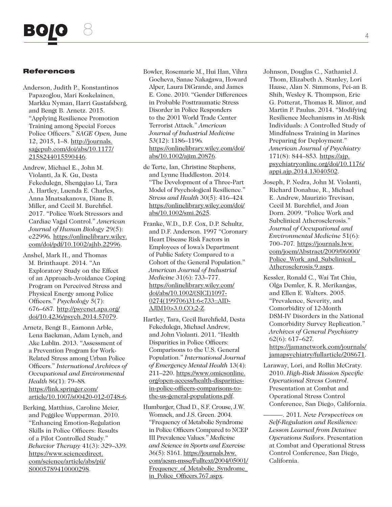#### References

- Anderson, Judith P., Konstantinos Papazoglou, Mari Koskelainen, Markku Nyman, Harri Gustafsberg, and Bengt B. Arnetz. 2015. "Applying Resilience Promotion Training among Special Forces Police Officers." *SAGE Open,* June 12, 2015, 1–8. http://journals. [sagepub.com/doi/abs/10.1177/](http://journals.sagepub.com/doi/abs/10.1177/2158244015590446) 2158244015590446.
- Andrew, Michael E., John M. Violanti, Ja K. Gu, Desta Fekedulegn, Shengqiao Li, Tara A. Hartley, Luenda E. Charles, Anna Mnatsakanova, Diane B. Miller, and Cecil M. Burchfiel. 2017. "Police Work Stressors and Cardiac Vagal Control." *American Journal of Human Biology* 29(5): e22996*.* https://onlinelibrary.wiley. [com/doi/pdf/10.1002/ajhb.22996.](https://onlinelibrary.wiley.com/doi/pdf/10.1002/ajhb.22996)
- Anshel, Mark H., and Thomas M. Brinthaupt. 2014. "An Exploratory Study on the Effect of an Approach-Avoidance Coping Program on Perceived Stress and Physical Energy among Police Officers." *Psychology* 5(7): 676–687*.* http://psycnet.apa.org/ [doi/10.4236/psych.2014.57079.](http://psycnet.apa.org/doi/10.4236/psych.2014.57079)
- Arnetz, Bengt B., Eamonn Arble, Lena Backman, Adam Lynch, and Ake Lublin. 2013. "Assessment of a Prevention Program for Work-Related Stress among Urban Police Officers." *International Archives of Occupational and Environmental Health* 86(1): 79–88*.*  https://link.springer.com/ [article/10.1007/s00420-012-0748-6.](https://link.springer.com/article/10.1007/s00420-012-0748-6)
- Berking, Matthias, Caroline Meier, and Peggilee Wupperman. 2010. "Enhancing Emotion-Regulation Skills in Police Officers: Results of a Pilot Controlled Study." *Behavior Therapy* 41(3): 329–339*.*  https://www.sciencedirect. [com/science/article/abs/pii/](https://www.sciencedirect.com/science/article/abs/pii/S0005789410000298) S0005789410000298.
- Bowler, Rosemarie M., Hui Han, Vihra Gocheva, Sanae Nakagawa, Howard Alper, Laura DiGrande, and James E. Cone. 2010. "Gender Differences in Probable Posttraumatic Stress Disorder in Police Responders to the 2001 World Trade Center Terrorist Attack." *American Journal of Industrial Medicine*  53(12): 1186–1196*.*  [https://onlinelibrary.wiley.com/doi/](https://onlinelibrary.wiley.com/doi/abs/10.1002/ajim.20876) abs/10.1002/ajim.20876.
- de Terte, Ian, Christine Stephens, and Lynne Huddleston. 2014. "The Development of a Three-Part Model of Psychological Resilience." *Stress and Health* 30(5): 416–424*.*  [https://onlinelibrary.wiley.com/doi/](https://onlinelibrary.wiley.com/doi/abs/10.1002/smi.2625) abs/10.1002/smi.2625.
- Franke, W.D., D.F. Cox, D.P. Schultz, and D.F. Anderson. 1997 "Coronary Heart Disease Risk Factors in Employees of Iowa's Department of Public Safety Compared to a Cohort of the General Population." *American Journal of Industrial Medicine* 31(6): 733–777. [https://onlinelibrary.wiley.com/](https://onlinelibrary.wiley.com/doi/abs/10.1002/(SICI)1097-0274(199706)31:6<733::AIDAJIM10>3.0.CO;2-Z) doi/abs/10.1002/(SICI)1097- 0274(199706)31:6<733::AID-AJIM10>3.0.CO;2-Z.
- Hartley, Tara, Cecil Burchfield, Desta Fekedulegn, Michael Andrew, and John Violanti. 2011. "Health Disparities in Police Officers: Comparisons to the U.S. General Population." *International Journal of Emergency Mental Health* 13(4): [211–220. https://www.omicsonline.](https://www.omicsonline.org/open-access/health-disparities-in-police-officers-comparisons-to-the-us-general-populations.pdf) org/open-access/health-disparitiesin-police-officers-comparisons-tothe-us-general-populations.pdf.
- Humbarger, Chad D., S.F. Crouse, J.W. Womack, and J.S. Green. 2004. "Frequency of Metabolic Syndrome in Police Officers Compared to NCEP III Prevalence Values." *Medicine and Science in Sports and Exercise*  36(5): S161. https://journals.lww. [com/acsm-msse/Fulltext/2004/05001/](https://journals.lww.com/acsm-msse/Fulltext/2004/05001/Frequency_of_Metabolic_Syndrome_in_Police_Officers.767.aspx) Frequency of Metabolic Syndrome in\_Police\_Officers.767.aspx.
- Johnson, Douglas C., Nathaniel J. Thom, Elizabeth A. Stanley, Lori Haase, Alan N. Simmons, Pei-an B. Shih, Wesley K. Thompson, Eric G. Potterat, Thomas R. Minor, and Martin P. Paulus. 2014. "Modifying Resilience Mechanisms in At-Risk Individuals: A Controlled Study of Mindfulness Training in Marines Preparing for Deployment." *American Journal of Psychiatry*  171(8): 844–853*.* https://ajp. [psychiatryonline.org/doi/10.1176/](https://ajp.psychiatryonline.org/doi/10.1176/appi.ajp.2014.13040502) appi.ajp.2014.13040502.
- Joseph, P. Nedra, John M. Violanti, Richard Donahue, R., Michael E. Andrew, Maurizio Trevisan, Cecil M. Burchfiel, and Joan Dorn. 2009. "Police Work and Subclinical Atherosclerosis." *Journal of Occupational and Environmental Medicine* 51(6): 700–707*.* https://journals.lww. [com/joem/Abstract/2009/06000/](https://journals.lww.com/joem/Abstract/2009/06000/) Police\_Work\_and\_Subclinical Atherosclerosis.9.aspx.
- Kessler, Ronald C., Wai Tat Chiu, Olga Demler, K. R. Merikangas, and Ellen E. Walters. 2005. "Prevalence, Severity, and Comorbidity of 12-Month DSM-IV Disorders in the National Comorbidity Survey Replication." *Archives of General Psychiatry*  62(6): 617–627*.*  [https://jamanetwork.com/journals/](https://jamanetwork.com/journals/jamapsychiatry/fullarticle/208671) jamapsychiatry/fullarticle/208671.
- Laraway, Lori, and Rollin McCraty. 2010. *High-Risk Mission Specific Operational Stress Control*. Presentation at Combat and Operational Stress Control Conference, San Diego, California.
	- ———. 2011*. New Perspectives on Self-Regulation and Resilience: Lesson Learned from Detainee Operations Sailors*. Presentation at Combat and Operational Stress Control Conference, San Diego, California.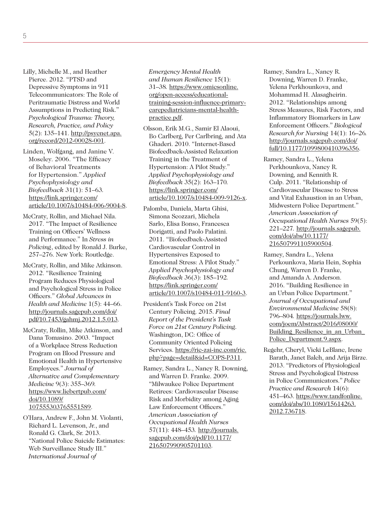- Lilly, Michelle M., and Heather Pierce. 2012. "PTSD and Depressive Symptoms in 911 Telecommunicators: The Role of Peritraumatic Distress and World Assumptions in Predicting Risk." *Psychological Trauma: Theory, Research, Practice, and Policy*  [5\(2\): 135–141. http://psycnet.apa.](http://psycnet.apa.org/record/2012-00028-001) org/record/2012-00028-001.
- Linden, Wolfgang, and Janine V. Moseley. 2006. "The Efficacy of Behavioral Treatments for Hypertension." *Applied Psychophysiology and Biofeedback* 31(1): 51–63*.*  https://link.springer.com/ [article/10.1007/s10484-006-9004-8.](https://link.springer.com/article/10.1007/s10484-006-9004-8)
- McCraty, Rollin, and Michael Nila. 2017. "The Impact of Resilience Training on Officers' Wellness and Performance." In *Stress in Policing*, edited by Ronald J. Burke, 257–276. New York: Routledge.
- McCraty, Rollin, and Mike Atkinson. 2012. "Resilience Training Program Reduces Physiological and Psychological Stress in Police Officers." *Global Advances in Health and Medicine* 1(5): 44–66. http://journals.sagepub.com/doi/ [pdf/10.7453/gahmj.2012.1.5.013.](http://journals.sagepub.com/doi/pdf/10.7453/gahmj.2012.1.5.013)
- McCraty, Rollin, Mike Atkinson, and Dana Tomasino. 2003. "Impact of a Workplace Stress Reduction Program on Blood Pressure and Emotional Health in Hypertensive Employees." *Journal of Alternative and Complementary Medicine* 9(3): 355–369*.*  [https://www.liebertpub.com/](https://www.liebertpub.com/doi/10.1089/107555303765551589) doi/10.1089/ 107555303765551589.
- O'Hara, Andrew F., John M. Violanti, Richard L. Levenson, Jr., and Ronald G. Clark, Sr. 2013. "National Police Suicide Estimates: Web Surveillance Study III." *International Journal of*

*Emergency Mental Health and Human Resilience* 15(1): 31–38*.* https://www.omicsonline. org/open-access/educational[training-session-influence-primary](https://www.omicsonline.org/open-access/educational-training-session-influence-primary-care-pediatricians-mental-health-practice.pdf)carepediatricians-mental-healthpractice.pdf.

- Olsson, Erik M.G., Samir El Alaoui, Bo Carlberg, Per Carlbring, and Ata Ghaderi. 2010. "Internet-Based Biofeedback-Assisted Relaxation Training in the Treatment of Hypertension: A Pilot Study." *Applied Psychophysiology and Biofeedback* 35(2): 163–170*.*  https://link.springer.com/ [article/10.1007/s10484-009-9126-x.](https://link.springer.com/article/10.1007/s10484-009-9126-x)
- Palomba, Daniela, Marta Ghisi, Simona Scozzari, Michela Sarlo, Elisa Bonso, Francesca Dorigatti, and Paolo Palatini. 2011. "Biofeedback-Assisted Cardiovascular Control in Hypertensives Exposed to Emotional Stress: A Pilot Study." *Applied Psychophysiology and Biofeedback* 36(3): 185–192*.*  https://link.springer.com/ [article/10.1007/s10484-011-9160-3.](https://link.springer.com/article/10.1007/s10484-011-9160-3)
- President's Task Force on 21st Century Policing. 2015. *Final Report of the President's Task Force on 21st Century Policing.*  Washington, DC: Office of Community Oriented Policing Services. https://ric-zai-inc.com/ric. [php?page=detail&id=COPS-P311.](https://cops.usdoj.gov/RIC/ric.php?page=detail&id=COPS-P311)
- Ramey, Sandra L., Nancy R. Downing, and Warren D. Franke. 2009. "Milwaukee Police Department Retirees: Cardiovascular Disease Risk and Morbidity among Aging Law Enforcement Officers." *American Association of Occupational Health Nurses*  57(11): 448–453*.* http://journals. [sagepub.com/doi/pdf/10.1177/](http://journals.sagepub.com/doi/pdf/10.1177/216507990905701103) 216507990905701103.
- Ramey, Sandra L., Nancy R. Downing, Warren D. Franke, Yelena Perkhounkova, and Mohammad H. Alasagheirin. 2012. "Relationships among Stress Measures, Risk Factors, and Inflammatory Biomarkers in Law Enforcement Officers." *Biological Research for Nursing* 14(1): 16–26*.*  http://journals.sagepub.com/doi/ [full/10.1177/1099800410396356.](http://journals.sagepub.com/doi/full/10.1177/1099800410396356)
- Ramey, Sandra L., Yelena Perkhounkova, Nancy R. Downing, and Kennith R. Culp. 2011. "Relationship of Cardiovascular Disease to Stress and Vital Exhaustion in an Urban, Midwestern Police Department." *American Association of Occupational Health Nurses* 59(5): 221–227*.* [http://journals.sagepub.](http://journals.sagepub.com/doi/abs/10.1177/216507991105900504) com/doi/abs/10.1177/ 216507991105900504.
- Ramey, Sandra L., Yelena Perkounkova, Maria Hein, Sophia Chung, Warren D. Franke, and Amanda A. Anderson. 2016. "Building Resilience in an Urban Police Department." *Journal of Occupational and Environmental Medicine* 58(8): 796–804*.* https://journals.lww. com/joem/Abstract/2016/08000/ Building Resilience in an Urban Police\_Department.9.aspx.
- Regehr, Cheryl, Vicki LeBlanc, Irene Barath, Janet Balch, and Arija Birze. 2013. "Predictors of Physiological Stress and Psychological Distress in Police Communicators." *Police Practice and Research* 14(6): [451–463. https://www.tandfonline.](https://www.tandfonline.com/doi/abs/10.1080/15614263.2012.736718) com/doi/abs/10.1080/15614263. 2012.736718.